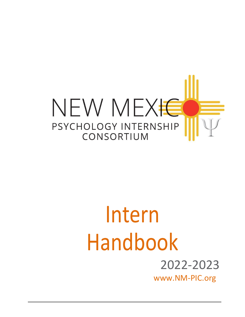

# Intern Handbook 2022-2023 [www.NM-PIC.org](http://www.nm-pic.org/)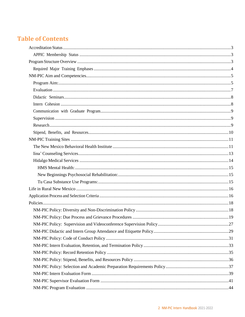### **Table of Contents**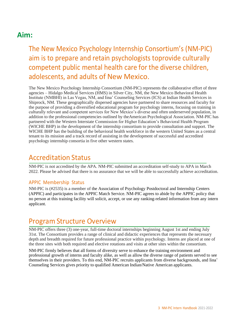### **Aim:**

The New Mexico Psychology Internship Consortium's (NM-PIC) aim is to prepare and retain psychologists toprovide culturally competent public mental health care for the diverse children, adolescents, and adults of New Mexico.

The New Mexico Psychology Internship Consortium (NM-PIC) represents the collaborative effort of three agencies – Hidalgo Medical Services (HMS) in Silver City, NM, the New Mexico Behavioral Health Institute (NMBHI) in Las Vegas, NM, and Iina' Counseling Services (ICS) at Indian Health Services in Shiprock, NM. These geographically dispersed agencies have partnered to share resources and faculty for the purpose of providing a diversified educational program for psychology interns, focusing on training in culturally relevant and competent services for New Mexico's diverse and often underserved population, in addition to the professional competencies outlined by theAmerican Psychological Association. NM-PIC has partnered with the Western Interstate Commission for Higher Education's Behavioral Health Program (WICHE BHP) in the development of the internship consortium to provide consultation and support. The WICHE BHP has the building of the behavioral health workforce in the western United States as a central tenant to its mission and a track record of assisting in the development of successful and accredited psychology internship consortia in five other western states.

### <span id="page-2-0"></span>Accreditation Status

NM-PIC is not accredited by the APA. NM-PIC submitted an accreditation self-study to APA in March 2022. Please be advised that there is no assurance that we will be able to successfully achieve accreditation.

#### <span id="page-2-1"></span>APPIC Membership Status

NM-PIC is (#2535) is a member of the Association of Psychology Postdoctoral and Internship Centers (APPIC) and participates in the APPIC Match Service. NM-PIC agrees to abide by the APPIC policy that no person at this training facility will solicit, accept, or use any ranking-related information from any intern applicant.

### <span id="page-2-2"></span>Program Structure Overview

NM-PIC offers three (3) one-year, full-time doctoral internships beginning August 1st and ending July 31st. The Consortium provides a range of clinical and didactic experiences that represents the necessary depth and breadth required for future professional practice within psychology. Interns are placed at one of the three sites with both required and elective rotations and visits at other sites within the consortium.

NM-PIC firmly believes that all forms of diversity serve to enhance the training environment and professional growth of interns and faculty alike, as well as allow the diverse range of patients served to see themselves in their providers. To this end, NM-PIC recruits applicants from diverse backgrounds, and Iina' Counseling Services gives priority to qualified American Indian/Native American applicants.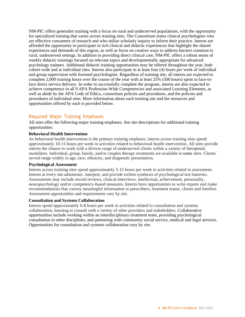NM-PIC offers generalist training with a focus on rural and underserved populations, with the opportunity for specialized training that varies across training sites. The Consortium trains clinical psychologists who are effective consumers of research and who utilize scholarly inquiry to inform their practice. Interns are afforded the opportunity to participate in rich clinical and didactic experiences that highlight the shared experiences and demands of this region, as well as focus on creative ways to address barriers common to rural, underserved settings. In addition to providing direct clinical care, NM-PIC offers a robust series of weekly didactic trainings focused on relevant topics and developmentally appropriate for advanced psychology trainees. Additional didactic training opportunities may be offered throughout the year, both cohort-wide and at individual sites. Interns also participate in at least four (4) hours per week of individual and group supervision with licensed psychologists. Regardless of training site, all interns are expected to complete 2,000 training hours over the course of the year with at least 25% (500 hours) spent in face-toface direct service delivery. In order to successfully complete the program, interns are also expected to achieve competence in all 9 APA Profession-Wide Competencies and associated Learning Elements, as well as abide by the APA Code of Ethics, consortium policies and procedures, and the policies and procedures of individual sites. More information about each training site and the resources and opportunities offered by each is provided below.

#### <span id="page-3-0"></span>Required Major Training Emphases

All sites offer the following major training emphases. See site descriptions for additional training opportunities:

#### **Behavioral Health Intervention**

As behavioral health intervention is the primary training emphasis, interns across training sites spend approximately 10-15 hours per week in activities related to behavioral health intervention. All sites provide interns the chance to work with a diverse range of underserved clients within a variety of therapeutic modalities. Individual, group, family, and/or couples therapy treatments are available at some sites. Clients served range widely in age, race, ethnicity, and diagnostic presentation.

#### **Psychological Assessment**

Interns across training sites spend approximately 5-15 hours per week in activities related to assessment. Interns at every site administer, interpret, and provide written synthesis of psychological test batteries. Assessments may include record reviews, clinical interviews, intellectual, achievement, personality, neuropsychology and/or competency-based measures. Interns have opportunities to write reports and make recommendations that convey meaningful information to prescribers, treatment teams, clients and families. Assessment opportunities and requirements vary by site.

#### **Consultation and Systems Collaboration**

Interns spend approximately 6-8 hours per week in activities related to consultation and systems collaboration, learning to consult with a variety of other providers and stakeholders. Collaborative opportunities include working within an interdisciplinary treatment team, providing psychological consultation to other disciplines, and partnering with community social service, medical and legal services. Opportunities for consultation and systems collaboration vary by site.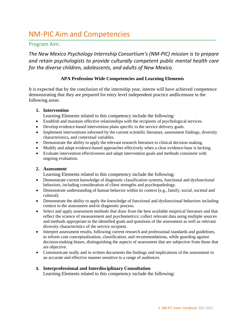# <span id="page-4-0"></span>NM-PIC Aim and Competencies

#### <span id="page-4-1"></span>Program Aim:

*The New Mexico Psychology Internship Consortium's (NM-PIC) mission is to prepare and retain psychologists to provide culturally competent public mental health care for the diverse children, adolescents, and adults of New Mexico.*

#### **APA Profession Wide Competencies and Learning Elements**

It is expected that by the conclusion of the internship year, interns will have achieved competence demonstrating that they are prepared for entry level independent practice andlicensure in the following areas:

#### **1. Intervention**

Learning Elements related to this competency include the following:

- Establish and maintain effective relationships with the recipients of psychological services.
- Develop evidence-based intervention plans specific to the service delivery goals.
- Implement interventions informed by the current scientific literature, assessment findings, diversity characteristics, and contextual variables.
- Demonstrate the ability to apply the relevant research literature to clinical decision making.
- Modify and adapt evidence-based approaches effectively when a clear evidence-base is lacking.
- Evaluate intervention effectiveness and adapt intervention goals and methods consistent with ongoing evaluation.

#### **2. Assessment**

Learning Elements related to this competency include the following:

- Demonstrate current knowledge of diagnostic classification systems, functional and dysfunctional behaviors, including consideration of client strengths and psychopathology.
- Demonstrate understanding of human behavior within its context (e.g., family, social, societal and cultural).
- Demonstrate the ability to apply the knowledge of functional and dysfunctional behaviors including context to the assessment and/or diagnostic process.
- Select and apply assessment methods that draw from the best available empirical literature and that reflect the science of measurement and psychometrics; collect relevant data using multiple sources and methods appropriate to the identified goals and questions of the assessment as well as relevant diversity characteristics of the service recipient.
- Interpret assessment results, following current research and professional standards and guidelines, to inform case conceptualization, classification, and recommendations, while guarding against decision-making biases, distinguishing the aspects of assessment that are subjective from those that are objective.
- Communicate orally and in written documents the findings and implications of the assessment in an accurate and effective manner sensitive to a range of audiences.

#### **3. Interprofessional and Interdisciplinary Consultation**

Learning Elements related to this competency include the following: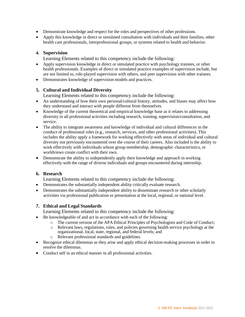- Demonstrate knowledge and respect for the roles and perspectives of other professions.
- Apply this knowledge in direct or simulated consultation with individuals and their families, other health care professionals, interprofessional groups, or systems related to health and behavior.

#### **4. Supervision**

Learning Elements related to this competency include the following:

- Apply supervision knowledge in direct or simulated practice with psychology trainees, or other health professionals. Examples of direct or simulated practice examples of supervision include, but are not limited to, role-played supervision with others, and peer supervision with other trainees.
- Demonstrates knowledge of supervision models and practices.

#### **5. Cultural and Individual Diversity**

Learning Elements related to this competency include the following:

- An understanding of how their own personal/cultural history, attitudes, and biases may affect how they understand and interact with people different from themselves.
- Knowledge of the current theoretical and empirical knowledge base as it relates to addressing diversity in all professional activities including research, training, supervision/consultation, and service.
- The ability to integrate awareness and knowledge of individual and cultural differences in the conduct of professional roles (e.g., research, services, and other professional activities). This includes the ability apply a framework for working effectively with areas of individual and cultural diversity not previously encountered over the course of their careers. Also included is the ability to work effectively with individuals whose group membership, demographic characteristics, or worldviews create conflict with their own.
- Demonstrate the ability to independently apply their knowledge and approach in working effectively with the range of diverse individuals and groups encountered during internship.

#### **6. Research**

Learning Elements related to this competency include the following:

- Demonstrates the substantially independent ability critically evaluate research.
- Demonstrates the substantially independent ability to disseminate research or other scholarly activities via professional publication or presentation at the local, regional, or national level.

#### **7. Ethical and Legal Standards**

Learning Elements related to this competency include the following:

- Be knowledgeable of and act in accordance with each of the following:
	- o The current version of the APA Ethical Principles of Psychologists and Code of Conduct;
	- o Relevant laws, regulations, rules, and policies governing health service psychology at the organizational, local, state, regional, and federal levels; and
	- o Relevant professional standards and guidelines.
- Recognize ethical dilemmas as they arise and apply ethical decision-making processes in order to resolve the dilemmas.
- Conduct self in an ethical manner in all professional activities.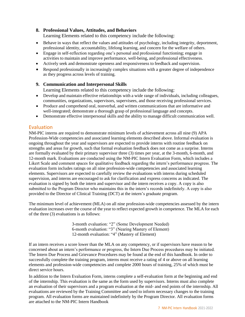#### **8. Professional Values, Attitudes, and Behaviors**

Learning Elements related to this competency include the following:

- Behave in ways that reflect the values and attitudes of psychology, including integrity, deportment, professional identity, accountability, lifelong learning, and concern for the welfare of others.
- Engage in self-reflection regarding one's personal and professional functioning; engage in activities to maintain and improve performance, well-being, and professional effectiveness.
- Actively seek and demonstrate openness and responsiveness to feedback and supervision.
- Respond professionally in increasingly complex situations with a greater degree of independence as they progress across levels of training.

#### **9. Communication and Interpersonal Skills**

Learning Elements related to this competency include the following:

- Develop and maintain effective relationships with a wide range of individuals, including colleagues, communities, organizations, supervisors, supervisees, and those receiving professional services.
- Produce and comprehend oral, nonverbal, and written communications that are informative and well-integrated; demonstrate a thorough grasp of professional language and concepts.
- Demonstrate effective interpersonal skills and the ability to manage difficult communication well.

#### <span id="page-6-0"></span>Evaluation

NM-PIC interns are required to demonstrate minimum levels of achievement across all nine (9) APA Profession-Wide competencies and associated learning elements described above. Informal evaluation is ongoing throughout the year and supervisors are expected to provide interns with routine feedback on strengths and areas for growth, such that formal evaluation feedback does not come as a surprise. Interns are formally evaluated by their primary supervisor three (3) times per year, at the 3-month, 6-month, and 12-month mark. Evaluations are conducted using the NM-PIC Intern Evaluation Form, which includes a Likert Scale and comment spaces for qualitative feedback regarding the intern's performance progress. The evaluation form includes ratings on all nine profession-wide competencies and associated learning elements. Supervisors are expected to carefully review the evaluations with interns during scheduled supervision, and interns are encouraged to ask for clarification and express concerns as indicated. The evaluation is signed by both the intern and supervisor and the intern receives a copy. A copy is also submitted to the Program Director who maintains this in the intern's records indefinitely. A copy is also provided to the Director of Clinical Training (DCT) at the intern's graduate program.

The minimum level of achievement (MLA) on all nine profession-wide competencies assessed by the intern evaluation increases over the course of the year to reflect expected growth in competence. The MLA for each of the three (3) evaluations is as follows:

> 3-month evaluation: "2" (Some Development Needed) 6-month evaluation: "3" (Nearing Mastery of Element) 12-month evaluation: "4" (Mastery of Element)

If an intern receives a score lower than the MLA on any competency, or if supervisors have reason to be concerned about an intern's performance or progress, the Intern Due Process procedures may be initiated. The Intern Due Process and Grievance Procedures may be found at the end of this handbook. In order to successfully complete the training program, interns must receive a rating of 4 or above on all learning elements and profession-wide competencies and complete 2000 hours of training, 25% of which must be direct service hours.

In addition to the Intern Evaluation Form, interns complete a self-evaluation form at the beginning and end of the internship. This evaluation is the same as the form used by supervisors. Interns must also complete an evaluation of their supervisors and a program evaluation at the mid- and end points of the internship. All evaluations are reviewed by the Training Committee and used to inform necessary changes to the training program. All evaluation forms are maintained indefinitely by the Program Director. All evaluation forms are attached to the NM-PIC Intern Handbook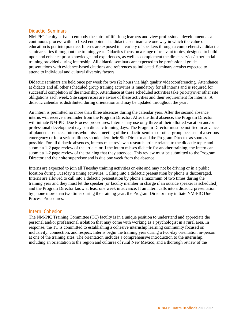#### <span id="page-7-0"></span>Didactic Seminars

NM-PIC faculty strive to embody the spirit of life-long learners and view professional development as a continuous process with no fixed endpoint. The didactic seminars are one way in which the value on education is put into practice. Interns are exposed to a variety of speakers through a comprehensive didactic seminar series throughout the training year. Didactics focus on a range of relevant topics, designed to build upon and enhance prior knowledge and experiences, as well as complement the direct service/experiential training provided during internship. All didactic seminars are expected to be professional grade presentations with evidence-based citations and references as indicated. Seminars arealso expected to attend to individual and cultural diversity factors.

Didactic seminars are held once per week for two (2) hours via high quality videoconferencing. Attendance at didacts and all other scheduled group training activities is mandatory for all interns and is required for successful completion of the internship. Attendance at these scheduled activities take priorityover other site obligations each week. Site supervisors are aware of these activities and their requirement for interns. A didactic calendar is distributed during orientation and may be updated throughout the year.

An intern is permitted no more than three absences during the calendar year. After the second absence, interns will receive a reminder from the Program Director. After the third absence, the Program Director will initiate NM-PIC Due Process procedures. Interns may use only three of their allotted vacation and/or professional development days on didactic training days. The Program Director must be notified in advance of planned absences. Interns who miss a meeting of the didactic seminar or other group because of a serious emergency or for a serious illness should alert their Site Director and the Program Director as soon as possible. For all didactic absences, interns must review a research article related to the didactic topic and submit a 1-2 page review of the article, or if the intern misses didactic for another training, the intern can submit a 1-2 page review of the training that they attended. This review must be submitted to the Program Director and their site supervisor and is due one week from the absence.

Interns are expected to join all Tuesday training activities on-site and may not be driving or in a public location during Tuesday training activities. Calling into a didactic presentation by phone is discouraged. Interns are allowed to call into a didactic presentation by phone a maximum of two times during the training year and they must let the speaker (or faculty member in charge if an outside speaker is scheduled), and the Program Director know at least one week in advance. If an intern calls into a didactic presentation by phone more than two times during the training year, the Program Director may initiate NM-PIC Due Process Procedures.

#### <span id="page-7-1"></span>Intern Cohesion

The NM-PIC Training Committee (TC) faculty is in a unique position to understand and appreciate the personal and/or professional isolation that may come with working as a psychologist in a rural area. In response, the TC is committed to establishing a cohesive internship learning community focused on inclusivity, connection, and respect. Interns begin the training year during a two-day orientation in-person at one of the training sites. The orientation includes a comprehensive introduction to the internship, including an orientation to the region and cultures of rural New Mexico, and a thorough review of the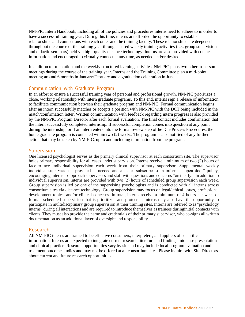NM-PIC Intern Handbook, including all of the policies and procedures interns need to adhere to in order to have a successful training year. During this time, interns are afforded the opportunity to establish relationships and connections with each other and the training faculty. These relationships are deepened throughout the course of the training year through shared weekly training activities (i.e., group supervision and didactic seminars) held via high-quality distance technology. Interns are also provided with contact information and encouraged to virtually connect at any time, as needed and/or desired.

In addition to orientation and the weekly structured learning activities, NM-PIC plans two other in-person meetings during the course of the training year. Interns and the Training Committee plan a mid-point meeting around 6 months in January/February and a graduation celebration in June.

#### <span id="page-8-0"></span>Communication with Graduate Program

In an effort to ensure a successful training year of personal and professional growth, NM-PIC prioritizes a close, working relationship with intern graduate programs. To this end, interns sign a release of information to facilitate communication between their graduate program and NM-PIC. Formal communication begins after an intern successfully matches or accepts a position with NM-PIC with the DCT being included in the match/confirmation letter. Written communication with feedback regarding intern progress is also provided by the NM-PIC Program Director after each formal evaluation. The final contact includes confirmation that the intern successfully completed internship. If successful completion comes into question at any point during the internship, or if an intern enters into the formal review step ofthe Due Process Procedures, the home graduate program is contacted within two (2) weeks. The program is also notified of any further action that may be taken by NM-PIC, up to and including termination from the program.

#### <span id="page-8-1"></span>**Supervision**

One licensed psychologist serves as the primary clinical supervisor at each consortium site. The supervisor holds primary responsibility for all cases under supervision. Interns receive a minimum of two (2) hours of face-to-face individual supervision each week from their primary supervisor. Supplemental weekly individual supervision is provided as needed and all sites subscribe to an informal "open door" policy, encouraging interns to approach supervisors and staff with questions and concerns "on the fly." In addition to individual supervision, interns are provided with two (2) hours of scheduled group supervision each week. Group supervision is led by one of the supervising psychologists and is conducted with all interns across consortium sites via distance technology. Group supervision may focus on legal/ethical issues, professional development topics, and/or clinical concerns. In total, interns receive a minimum of 4 hours per week of formal, scheduled supervision that is prioritized and protected. Interns may also have the opportunity to participate in multidisciplinary group supervision at their training sites. Interns are referred to as "psychology interns" during all interactions and are required to introduce themselves astrainees duringinitial contacts with clients. They must also provide the name and credentials of their primary supervisor, who co-signs all written documentation as an additional layer of oversight and responsibility.

#### <span id="page-8-2"></span>Research

All NM-PIC interns are trained to be effective consumers, interpreters, and appliers of scientific information. Interns are expected to integrate current research literature and findings into case presentations and clinical practice. Research opportunities vary by site and may include local program evaluation and treatment outcome studies and may not be offered at all consortium sites. Please inquire with Site Directors about current and future research opportunities.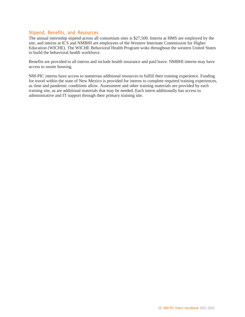#### <span id="page-9-0"></span>Stipend, Benefits, and Resources

The annual internship stipend across all consortium sites is \$27,500. Interns at HMS are employed by the site, and interns at ICS and NMBHI are employees of the Western Interstate Commission for Higher Education (WICHE). The WICHE Behavioral Health Program woks throughout the western United States to build the behavioral health workforce.

Benefits are provided to all interns and include health insurance and paid leave. NMBHI interns may have access to onsite housing.

NM-PIC interns have access to numerous additional resources to fulfill their training experience. Funding for travel within the state of New Mexico is provided for interns to complete required training experiences, as time and pandemic conditions allow. Assessment and other training materials are provided by each training site, as are additional materials that may be needed. Each intern additionally has access to administrative and IT support through their primary training site.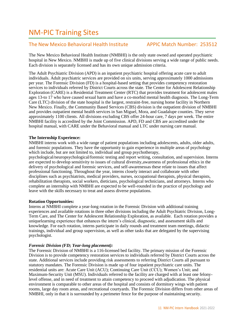# <span id="page-10-0"></span>NM-PIC Training Sites

#### <span id="page-10-1"></span>The New Mexico Behavioral Health Institute APPIC Match Number: 253512

The New Mexic[o Behavioral Health Institute \(](https://nmhealth.org/location/view/72/)NMBHI) is the only state owned and operated psychiatric hospital in New Mexico. NMBHI is made up of five clinical divisions serving a wide range of public needs. Each division is separately licensed and has its own unique admission criteria.

The Adult Psychiatric Division (APD) is an inpatient psychiatric hospital offering acute care to adult individuals. Adult psychiatric services are provided on six units, serving approximately 1000 admissions per year. The Forensic Division (FD) is a hospital-based setting that provides competency restoration services to individuals referred by District Courts across the state. The Center for Adolescent Relationship Exploration (CARE) is a Residential Treatment Center (RTC) that provides treatment for adolescent males ages 13-to 17 who have caused sexual harm and have a co-morbid mental health diagnosis. The Long-Term Care (LTC) division of the state hospital is the largest, restraint-free, nursing home facility in Northern New Mexico. Finally, the Community Based Services (CBS) division is the outpatient division of NMBHI and provides outpatient mental health services in San Miguel, Mora, and Guadalupe counties. They serve approximately 1100 clients. All divisions excluding CBS offer 24-hour care, 7 days per week. The entire NMBHI facility is accredited by the Joint Commission. APD, FD and CBS are accredited under the hospital manual, with CARE under the Behavioral manual and LTC under nursing care manual.

#### **The Internship Experience:**

NMBHI interns work with a wide range of patient populations including adolescents, adults, older adults, and forensic populations. They have the opportunity to gain experience in multiple areas of psychology which include, but are not limited to, individual and group psychotherapy,

psychological/neuropsychological/forensic testing and report writing, consultation, and supervision. Interns are expected to develop sensitivity to issues of cultural diversity,awareness of professional ethics in the delivery of psychological and forensic services, and self-awarenessas these relate to issues that affect professional functioning. Throughout the year, interns closely interact and collaborate with other disciplines such as psychiatrists, medical providers, nurses, occupational therapists, physical therapists, rehabilitation therapists, social workers, dieticians, psychological technicians, and attorneys. Interns who complete an internship with NMBHI are expected to be well-rounded in the practice of psychology and leave with the skills necessary to treat and assess diverse populations.

#### **Rotation Opportunities:**

Interns at NMBHI complete a year-long rotation in the Forensic Division with additional training experiences and available rotations in three other divisions including the Adult Psychiatric Division, Long-Term Care, and The Center for Adolescent Relationship Exploration, as available. Each rotation provides a uniquelearning experience that enhances the intern's clinical, diagnostic, and assessment skills and knowledge. For each rotation, interns participate in daily rounds and treatment team meetings, didactic trainings, individual and group supervision, as well as other tasks that are delegated by the supervising psychologist.

#### *Forensic Division (FD; Year-long placement):*

The Forensic Division of NMBHI is a 116-licensed bed facility. The primary mission of the Forensic Division is to provide competency restoration services to individuals referred by District Courts across the state. Additional services include providing risk assessments to referring District Courts all pursuant to statutory mandates. The Forensic Division is made up of four inpatient psychiatric care units. The residential units are: Acute Care Unit (ACU); Continuing Care Unit (CCU); Women's Unit; and Maximum-Security Unit (MSU). Individuals referred to the facility are charged with at least one felonylevel offense, and in need of treatment to attain competency to proceed with adjudication. The physical environment is comparable to other areas of the hospital and consists of dormitory wings with patient rooms, large day room areas, and recreational courtyards. The Forensic Division differs from other areas of NMBHI, only in that it is surrounded by a perimeter fence for the purpose of maintaining security.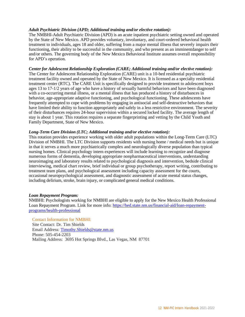#### *Adult Psychiatric Division (APD; Additional training and/or elective rotation):*

The NMBHI-Adult Psychiatric Division (APD) is an acute inpatient psychiatric setting owned and operated by the State of New Mexico. APD provides voluntary, involuntary, and court-ordered behavioral health treatment to individuals, ages 18 and older, suffering from a major mental illness that severely impairs their functioning, their ability to be successful in the community, and who present as an imminentdanger to self and/or others. The governing body of the New Mexico Behavioral Institute assumes overall responsibility for APD's operation.

#### *Center for Adolescent Relationship Exploration (CARE; Additional training and/or elective rotation):*

The Center for Adolescent Relationship Exploration (CARE) unit is a 10-bed residential psychiatric treatment facility owned and operated by the State of New Mexico. It is licensed as a specialty residential treatment center (RTC). The CARE Unit is specifically designed to provide treatment to adolescent boys ages 13 to 17-1/2 years of age who have a history of sexually harmful behaviors and have been diagnosed with a co-occurring mental illness, or a mental illness that has produced a history of disturbances in behavior, age-appropriate adaptive functioning, and psychological functioning. These adolescents have frequently attempted to cope with problems by engaging in antisocial and self-destructive behaviors that have limited their ability to function appropriately and safely in a less restrictive environment. The severity of their disturbances requires 24-hour supervision within a secured locked facility. The average length of stay is about 1 year. This rotation requires a separate fingerprinting and vetting by the Child Youth and Family Department, State of New Mexico.

#### *Long-Term Care Division (LTC; Additional training and/or elective rotation):*

This rotation provides experience working with older adult populations within the Long-Term Care (LTC) Division of NMBHI. The LTC Division supports residents with nursing home / medical needs but is unique in that it serves a much more psychiatrically complex and neurologically diverse population than typical nursing homes. Clinical psychology intern experiences will include learning to recognize and diagnose numerous forms of dementia, developing appropriate nonpharmaceutical interventions, understanding neuroimaging and laboratory results related to psychological diagnosis and intervention, bedside clinical interviewing, medical chart review, brief individual or group psychotherapy, report writing, contributing to treatment team plans, and psychological assessment including capacity assessment for the courts, occasional neuropsychological assessment, and diagnostic assessment of acute mental status changes, including delirium, stroke, brain injury, or complicated general medical conditions.

#### *Loan Repayment Program:*

NMBHI: Psychologists working for NMBHI are eligible to apply for the New Mexico Health Professional Loan Repayment Program. Link for more info: [https://hed.state.nm.us/financial-aid/loan-repayment](https://hed.state.nm.us/financial-aid/loan-repayment-programs/health-professional)[programs/health-professional](https://hed.state.nm.us/financial-aid/loan-repayment-programs/health-professional)

Contact Information for NMBHI:

Site Contact: Dr. Tim Shields Email Address: [Timothy.Shields@state.nm.us](mailto:Timothy.Shields@state.nm.us) Phone: 505-454-2203 Mailing Address: 3695 Hot Springs Blvd., Las Vegas, NM 87701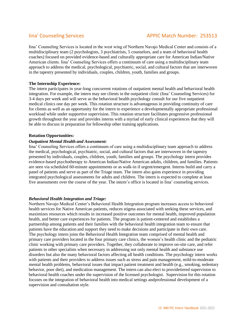#### <span id="page-12-0"></span>Iina' Counseling Services **APPIC Match Number: 253513**

Iina' Counseling Services is located in the west wing of Northern Navajo Medical Center and consists of a multidisciplinary team (2 psychologists, 3 psychiatrists, 5 counselors, and a team of behavioral health coaches) focused on provided evidence-based and culturally appropriate care for American Indian/Native American clients. Iina' Counseling Services offers a continuum of care using a multidisciplinary team approach to address the medical, psychological, psychiatric, social, and cultural factors that are interwoven in the tapestry presented by individuals, couples, children, youth, families and groups.

#### **The Internship Experience:**

The intern participates in year-long concurrent rotations of outpatient mental health and behavioral health integration. For example, the intern may see clients in the outpatient clinic (Iina' Counseling Services) for 3-4 days per week and will serve as the behavioral health psychology consult for our five outpatient medical clinics one day per week. This rotation structure is advantageous in providing continuity of care for clients as well as an opportunity for the intern to experience a developmentally appropriate professional workload while under supportive supervision. This rotation structure facilitates progressive professional growth throughout the year and provides interns with a myriad of early clinical experiences that they will be able to discuss in preparation for fellowship other training applications.

#### **Rotation Opportunities:**

#### *Outpatient Mental Health and Assessment:*

Iina' Counseling Services offers a continuum of care using a multidisciplinary team approach to address the medical, psychological, psychiatric, social, and cultural factors that are interwoven in the tapestry presented by individuals, couples, children, youth, families and groups. The psychology intern provides evidence-based psychotherapy to American Indian/Native American adults, children, and families. Patients are seen via scheduled 60-minute appointments or as walk-in if urgent/emergent. Interns build and carry a panel of patients and serve as part of the Triage team. The intern also gains experience in providing integrated psychological assessments for adults and children. The intern is expected to complete at least five assessments over the course of the year. The intern's office is located in Iina' counseling services.

#### *Behavioral Health Integration and Triage:*

Northern Navajo Medical Center's Behavioral Health Integration program increases access to behavioral health services for Native American patients, reduces stigma associated with seeking these services, and maximizes resources which results in increased positive outcomes for mental health, improved population health, and better care experiences for patients. The program is patient-centered and establishes a partnership among patients and their families with the behavioral health integration team to ensure that patients have the education and support they need to make decisions and participate in their own care. The psychology intern joins the Behavioral Health Integration team comprised of mental health and primary care providers located in the four primary care clinics, the women's health clinic and the pediatric clinic working with primary care providers. Together, they collaborate to improve on-site care, and refer patients to other specialists when necessary in addressing not only mental health and substance use disorders but also the many behavioral factors affecting all health conditions. The psychology intern works with patients and their providers to address issues such as stress and pain management, mild-to-moderate mental health problems, behavioral issues that impact patient treatment and health (e.g., smoking, sedentary behavior, poor diet), and medication management. The intern can also elect to providetiered supervision to behavioral health coaches under the supervision of the licensed psychologist. Supervision for this rotation focuses on the integration of behavioral health into medical settings andprofessional development of a supervision and consultation style.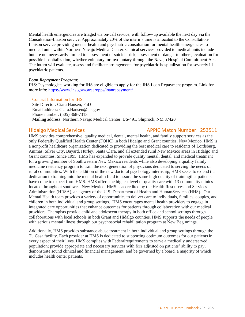Mental health emergencies are triaged via on-call service, with follow-up available the next day via the Consultation-Liaison service. Approximately 20% of the intern's time is allocated to the Consultation-Liaison service providing mental health and psychiatric consultation for mental health emergencies to medical units within Northern Navajo Medical Center. Clinical services provided to medical units include but are not necessarily limited to: assessment of suicidal risk, assessment of danger to others, evaluation for possible hospitalization, whether voluntary, or involuntary through the Navajo Hospital Commitment Act. The intern will evaluate, assess and facilitate arrangements for psychiatric hospitalization for severely ill psychiatric patients.

#### *Loan Repayment Program:*

IHS: Psychologists working for IHS are eligible to apply for the IHS Loan Repayment program. Link for more info:<https://www.ihs.gov/careeropps/loanrepayment/>

#### Contact Information for IHS:

Site Director: Ciara Hansen, PhD Email address: [Ciara.Hansen@ihs.gov](mailto:Ciara.Hansen@ihs.gov) Phone number: (505) 368-7313 Mailing address: Northern Navajo Medical Center, US-491, Shiprock, NM 87420

#### <span id="page-13-0"></span>Hidalgo Medical Services **APPIC Match Number: 253511**

HMS provides comprehensive, quality medical, dental, mental health, and family support services as the only Federally Qualified Health Center (FQHC) in both Hidalgo and Grant counties, New Mexico. HMS is a nonprofit healthcare organization dedicated to providing the best medical care to residents of Lordsburg, Animas, Silver City, Bayard, Hurley, Santa Clara, and all extended rural New Mexico areas in Hidalgo and Grant counties. Since 1995, HMS has expanded to provide quality mental, dental, and medical treatment for a growing number of Southwestern New Mexico residents while also developing a quality family medicine residency program to train the next generation of physicians dedicated to serving the needs of rural communities. With the addition of the new doctoral psychology internship, HMS seeks to extend that dedication to training into the mental health field to assure the same high quality of trainingthat patients have come to expect from HMS. HMS offers the highest level of quality care with 13 community clinics located throughout southwest New Mexico. HMS is accredited by the Health Resources and Services Administration (HRSA), an agency of the U.S. Department of Health and HumanServices (HHS). Our Mental Health team provides a variety of opportunities to deliver care to individuals, families, couples, and children in both individual and group settings. HMS encourages mental health providers to engage in integrated care opportunities that enhance outcomes for patients through collaboration with our medical providers. Therapists provide child and adolescent therapy in both office and school settings through collaborations with local schools in both Grant and Hidalgo counties. HMS supports the needs of people with serious mental illness through our psychosocial rehabilitation program at New Beginnings.

Additionally, HMS provides substance abuse treatment in both individual and group settings through the Tu Casa facility. Each provider at HMS is dedicated to supporting optimum outcomes for our patients in every aspect of their lives. HMS complies with Federalrequirements to serve a medically underserved population; provide appropriate and necessary services with fees adjusted on patients' ability to pay; demonstrate sound clinical and financial management; and be governed by a board, a majority of which includes health center patients.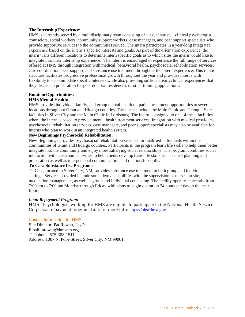#### **The Internship Experience:**

HMS is currently served by a multidisciplinary team consisting of 1 psychiatrist, 1 clinical psychologist, counselors, social workers, community support workers, case managers, and peer support specialists who provide supportive services to the communities served. The intern participates in a year-long integrated experience based on the intern's specific interests and goals. As part of the orientation experience, the intern visits different locations to determine intern specific goals as to which sites the intern would like to integrate into their internship experience. The intern is encouraged to experience the full range of services offered at HMS through integration with medical, behavioral health, psychosocial rehabilitation services, care coordination, peer support, and substance use treatment throughout the intern experience. This rotation structure facilitates progressive professional growth throughout the year and provides interns with flexibility to accommodate specific interests while also providing sufficient earlyclinical experiences that they discuss in preparation for post-doctoral residencies or other training applications.

### **Rotation Opportunities:**

#### <span id="page-14-0"></span>**HMS Mental Health:**

HMS provides individual, family, and group mental health outpatient treatment opportunities at several locations throughout Grant and Hidalgo counties. These sites include the Main Clinic and Tranquil Skies facilities in Silver City and the Main Clinic in Lordsburg. The intern is assigned to one of these facilities where the intern is based to provide mental health treatment services. Integration with medical providers, psychosocial rehabilitation services, case managers, and peer support specialists may also be available for interns who plan to work in an integrated health system.

#### <span id="page-14-1"></span>**New Beginnings Psychosocial Rehabilitation:**

New Beginnings provides psychosocial rehabilitation services for qualified individuals within the communities of Grant and Hidalgo counties. Participants in the program learn life skills to help them better integrate into the community and enjoy more satisfying social relationships. The program combines social interaction with classroom activities to help clients develop basic life skills suchas meal planning and preparation as well as interpersonal communication and relationship skills.

#### <span id="page-14-2"></span>**Tu Casa Substance Use Programs:**

Tu Casa, located in Silver City, NM, provides substance use treatment in both group and individual settings. Services provided include some detox capabilities with the supervision of nurses on site, medication management, as well as group and individual counseling. The facility operates currently from 7:00 am to 7:00 pm Monday through Friday with plans to begin operation 24 hours per day in the nearfuture.

#### *Loan Repayment Program:*

HMS: Psychologists working for HMS are eligible to participate in the National Health Service Corps loan repayment program. Link for more info: [https://nhsc.hrsa.gov](https://nhsc.hrsa.gov/)

#### Contact Information for HMS:

Site Director: Pat Rowan, PsyD. Email: [prowan@hmsnm.org](mailto:prowan@hmsnm.org) Telephone: 575-388-1511 Address: 1007 N. Pope Street, Silver City, NM 99061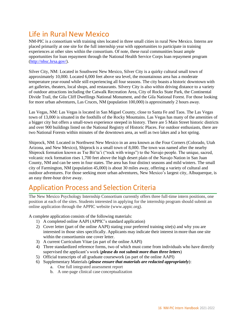### <span id="page-15-0"></span>Life in Rural New Mexico

NM-PIC is a consortium with training sites located in three small cities in rural New Mexico. Interns are placed primarily at one site for the full internship year with opportunities to participate in training experiences at other sites within the consortium. Of note, these rural communities boast ample opportunities for loan repayment through the National Health Service Corps loan repayment program [\(http://nhsc.hrsa.gov/\)](http://nhsc.hrsa.gov/).

Silver City, NM: Located in Southwest New Mexico, Silver City is a quirky cultural small town of approximately 10,000. Located 6,000 feet above sea level, the mountainous area has a moderate temperature year-round while still experiencing all four seasons. The city boasts a historic downtown with art galleries, theaters, local shops, and restaurants. Silvery City is also within driving distance to a variety of outdoor attractions including the Catwalk Recreation Area, City of Rocks State Park, the Continental Divide Trail, the Gila Cliff Dwellings National Monument, and the Gila National Forest. For those looking for more urban adventures, Las Cruces, NM (population 100,000) is approximately 2 hours away.

Las Vegas, NM: Las Vegas is located in San Miguel County, close to Santa Fe and Taos. The Las Vegas town of 13,000 is situated in the foothills of the Rocky Mountains. Las Vegas has many of the amenities of a bigger city but offers a small-town experience steeped in history. There are 5 Main Street historic districts and over 900 buildings listed on the National Registry of Historic Places. For outdoor enthusiasts, there are two National Forests within minutes of the downtown area, as well as two lakes and a hot spring.

Shiprock, NM: Located in Northwest New Mexico in an area known as the Four Corners (Colorado, Utah Arizona, and New Mexico), Shiprock is a small town of 8,000. The town was named after the nearby Shiprock formation known as Tse Bit'ta'i ("rock with wings") to the Navajo people. The unique, sacred, volcanic rock formation rises 1,700 feet above the high desert plain of the Navajo Nation in San Juan County, NM and can be seen in four states. The area has four distinct seasons and mild winters. The small city of Farmington, NM (population 45,000) is about 30 miles away, offering a variety of cultural and outdoor adventures. For those seeking more urban adventures, New Mexico's largest city, Albuquerque, is an easy three-hour drive away.

# <span id="page-15-1"></span>Application Process and Selection Criteria

The New Mexico Psychology Internship Consortium currently offers three full-time intern positions, one position at each of the sites. Students interested in applying for the internship program should submit an online application through the APPIC website (www.appic.org).

A complete application consists of the following materials:

- 1) A completed online AAPI (APPIC's standard application)
- 2) Cover letter (part of the online AAPI) stating your preferred training site(s) and why you are interested in those sites specifically. Applicants may indicate their interest in more than one site within the consortiumin one cover letter.
- 3) A current Curriculum Vitae (as part of the online AAPI)
- 4) Three standardized reference forms, two of which must come from individuals who have directly supervised the applicant's work (*please do not submit more than three letters*)
- 5) Official transcripts of all graduate coursework (as part of the online AAPI)
- 6) Supplementary Materials (*please ensure that materials are redacted appropriately*):
	- a. One full integrated assessment report
	- b. A one-page clinical case conceptualization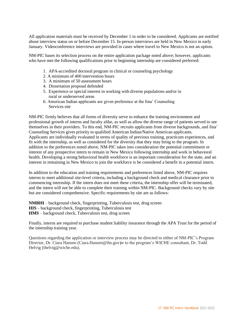All application materials must be received by December 1 in order to be considered. Applicants are notified about interview status on or before December 15. In-person interviews are held in New Mexico in early January. Videoconference interviews are provided in cases where travel to New Mexico is not an option.

NM-PIC bases its selection process on the entire application package noted above; however, applicants who have met the following qualifications prior to beginning internship are considered preferred:

- 1. APA-accredited doctoral program in clinical or counseling psychology
- 2. A minimum of 400 intervention hours
- 3. A minimum of 50 assessment hours
- 4. Dissertation proposal defended
- 5. Experience or special interest in working with diverse populations and/or in rural or underserved areas
- 6. American Indian applicants are given preference at the Iina' Counseling Services site

NM-PIC firmly believes that all forms of diversity serve to enhance the training environment and professional growth of interns and faculty alike, as well as allow the diverse range of patients served to see themselves in their providers. To this end, NM-PIC recruits applicants from diverse backgrounds, and Iina' Counseling Services gives priority to qualified American Indian/Native American applicants. Applicants are individually evaluated in terms of quality of previous training, practicum experiences, and fit with the internship, as well as considered for the diversity that they may bring to the program. In addition to the preferences noted above, NM-PIC takes into consideration the potential commitment or interest of any prospective intern to remain in New Mexico following internship and work in behavioral health. Developing a strong behavioral health workforce is an important consideration for the state, and an interest in remaining in New Mexico to join the workforce is be considered a benefit in a potential intern.

In addition to the education and training requirements and preferences listed above, NM-PIC requires interns to meet additional site-level criteria, including a background check and medical clearance prior to commencing internship. If the intern does not meet these criteria, the internship offer will be terminated, and the intern will not be able to complete their training within NM-PIC. Background checks vary by site but are considered comprehensive. Specific requirements by site are as follows:

**NMBHI** – background check, fingerprinting, Tuberculosis test, drug screen **HIS** – background check, fingerprinting, Tuberculosis test **HMS** – background check, Tuberculosis test, drug screen

Finally, interns are required to purchase student liability insurance through the APA Trust for the period of the internship training year.

Questions regarding the application or interview process may be directed to either of NM-PIC's Program Director, Dr. Ciara Hansen [\(Ciara.Hansen@ihs.gov\) o](mailto:Ciara.Hansen@ihs.gov)r to the program's WICHE consultant, Dr. Todd Helvig (thelvig@wiche.edu).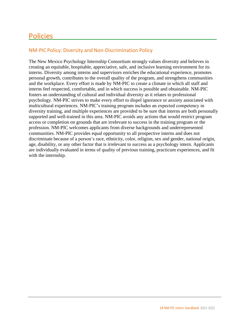### <span id="page-17-0"></span>Policies

### <span id="page-17-1"></span>NM-PIC Policy: Diversity and Non-Discrimination Policy

The New Mexico Psychology Internship Consortium strongly values diversity and believes in creating an equitable, hospitable, appreciative, safe, and inclusive learning environment for its interns. Diversity among interns and supervisors enriches the educational experience, promotes personal growth, contributes to the overall quality of the program, and strengthens communities and the workplace. Every effort is made by NM-PIC to create a climate in which all staff and interns feel respected, comfortable, and in which success is possible and obtainable. NM-PIC fosters an understanding of cultural and individual diversity as it relates to professional psychology. NM-PIC strives to make every effort to dispel ignorance or anxiety associated with multicultural experiences. NM-PIC's training program includes an expected competency in diversity training, and multiple experiences are provided to be sure that interns are both personally supported and well-trained in this area. NM-PIC avoids any actions that would restrict program access or completion on grounds that are irrelevant to success in the training program or the profession. NM-PIC welcomes applicants from diverse backgrounds and underrepresented communities. NM-PIC provides equal opportunity to all prospective interns and does not discriminate because of a person's race, ethnicity, color, religion, sex and gender, national origin, age, disability, or any other factor that is irrelevant to success as a psychology intern. Applicants are individually evaluated in terms of quality of previous training, practicum experiences, and fit with the internship.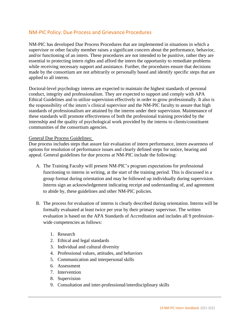#### <span id="page-18-0"></span>NM-PIC Policy: Due Process and Grievance Procedures

NM-PIC has developed Due Process Procedures that are implemented in situations in which a supervisor or other faculty member raises a significant concern about the performance, behavior, and/or functioning of an intern. These procedures are not intended to be punitive, rather they are essential to protecting intern rights and afford the intern the opportunity to remediate problems while receiving necessary support and assistance. Further, the procedures ensure that decisions made by the consortium are not arbitrarily or personally based and identify specific steps that are applied to all interns.

Doctoral-level psychology interns are expected to maintain the highest standards of personal conduct, integrity and professionalism. They are expected to support and comply with APA Ethical Guidelines and to utilize supervision effectively in order to grow professionally. It also is the responsibility of the intern's clinical supervisor and the NM-PIC faculty to assure that high standards of professionalism are attained by the interns under their supervision. Maintenance of these standards will promote effectiveness of both the professional training provided by the internship and the quality of psychological work provided by the interns to clients/constituent communities of the consortium agencies.

#### General Due Process Guidelines:

Due process includes steps that assure fair evaluation of intern performance, intern awareness of options for resolution of performance issues and clearly defined steps for notice, hearing and appeal. General guidelines for due process at NM-PIC include the following:

- A. The Training Faculty will present NM-PIC's program expectations for professional functioning to interns in writing, at the start of the training period. This is discussed in a group format during orientation and may be followed up individually during supervision. Interns sign an acknowledgement indicating receipt and understanding of, and agreement to abide by, these guidelines and other NM-PIC policies.
- B. The process for evaluation of interns is clearly described during orientation. Interns will be formally evaluated at least twice per year by their primary supervisor. The written evaluation is based on the APA Standards of Accreditation and includes all 9 professionwide competencies as follows:
	- 1. Research
	- 2. Ethical and legal standards
	- 3. Individual and cultural diversity
	- 4. Professional values, attitudes, and behaviors
	- 5. Communication and interpersonal skills
	- 6. Assessment
	- 7. Intervention
	- 8. Supervision
	- 9. Consultation and inter-professional/interdisciplinary skills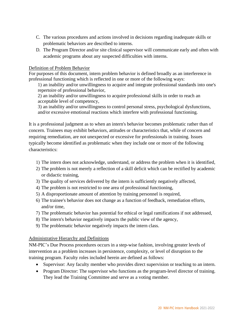- C. The various procedures and actions involved in decisions regarding inadequate skills or problematic behaviors are described to interns.
- D. The Program Director and/or site clinical supervisor will communicate early and often with academic programs about any suspected difficulties with interns.

#### Definition of Problem Behavior

For purposes of this document, intern problem behavior is defined broadly as an interference in professional functioning which is reflected in one or more of the following ways:

1) an inability and/or unwillingness to acquire and integrate professional standards into one's repertoire of professional behavior,

2) an inability and/or unwillingness to acquire professional skills in order to reach an acceptable level of competency,

3) an inability and/or unwillingness to control personal stress, psychological dysfunctions, and/or excessive emotional reactions which interfere with professional functioning.

It is a professional judgment as to when an intern's behavior becomes problematic rather than of concern. Trainees may exhibit behaviors, attitudes or characteristics that, while of concern and requiring remediation, are not unexpected or excessive for professionals in training. Issues typically become identified as problematic when they include one or more of the following characteristics:

- 1) The intern does not acknowledge, understand, or address the problem when it is identified,
- 2) The problem is not merely a reflection of a skill deficit which can be rectified by academic or didactic training,
- 3) The quality of services delivered by the intern is sufficiently negatively affected,
- 4) The problem is not restricted to one area of professional functioning,
- 5) A disproportionate amount of attention by training personnel is required,
- 6) The trainee's behavior does not change as a function of feedback, remediation efforts, and/or time,
- 7) The problematic behavior has potential for ethical or legal ramifications if not addressed,
- 8) The intern's behavior negatively impacts the public view of the agency,
- 9) The problematic behavior negatively impacts the intern class.

#### Administrative Hierarchy and Definitions

NM-PIC's Due Process procedures occurs in a step-wise fashion, involving greater levels of intervention as a problem increases in persistence, complexity, or level of disruption to the training program. Faculty roles included herein are defined as follows:

- Supervisor: Any faculty member who provides direct supervision or teaching to an intern.
- Program Director: The supervisor who functions as the program-level director of training. They lead the Training Committee and serve as a voting member.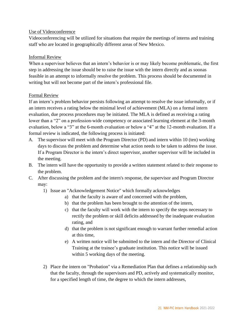#### Use of Videoconference

Videoconferencing will be utilized for situations that require the meetings of interns and training staff who are located in geographically different areas of New Mexico.

#### Informal Review

When a supervisor believes that an intern's behavior is or may likely become problematic, the first step in addressing the issue should be to raise the issue with the intern directly and as soonas feasible in an attempt to informally resolve the problem. This process should be documented in writing but will not become part of the intern's professional file.

#### Formal Review

If an intern's problem behavior persists following an attempt to resolve the issue informally, or if an intern receives a rating below the minimal level of achievement (MLA) on a formal intern evaluation, due process procedures may be initiated. The MLA is defined as receiving a rating lower than a "2" on a profession-wide competency or associated learning element at the 3-month evaluation, below a "3" at the 6-month evaluation or below a "4" at the 12-month evaluation. If a formal review is indicated, the following process is initiated:

- A. The supervisor will meet with the Program Director (PD) and intern within 10 (ten) working days to discuss the problem and determine what action needs to be taken to address the issue. If a Program Director is the intern's direct supervisor, another supervisor will be included in the meeting.
- B. The intern will have the opportunity to provide a written statement related to their response to the problem.
- C. After discussing the problem and the intern's response, the supervisor and Program Director may:
	- 1) Issue an "Acknowledgement Notice" which formally acknowledges
		- a) that the faculty is aware of and concerned with the problem,
		- b) that the problem has been brought to the attention of the intern,
		- c) that the faculty will work with the intern to specify the steps necessary to rectify the problem or skill deficits addressed by the inadequate evaluation rating, and
		- d) that the problem is not significant enough to warrant further remedial action at this time,
		- e) A written notice will be submitted to the intern and the Director of Clinical Training at the trainee's graduate institution. This notice will be issued within 5 working days of the meeting.
	- 2) Place the intern on "Probation" via a Remediation Plan that defines a relationship such that the faculty, through the supervisors and PD, actively and systematically monitor, for a specified length of time, the degree to which the intern addresses,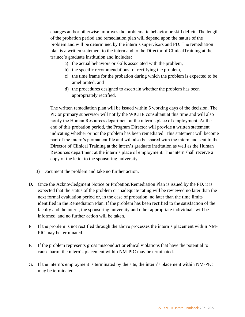changes and/or otherwise improves the problematic behavior or skill deficit. The length of the probation period and remediation plan will depend upon the nature of the problem and will be determined by the intern's supervisors and PD. The remediation plan is a written statement to the intern and to the Director of ClinicalTraining at the trainee's graduate institution and includes:

- a) the actual behaviors or skills associated with the problem,
- b) the specific recommendations for rectifying the problem,
- c) the time frame for the probation during which the problem is expected to be ameliorated, and
- d) the procedures designed to ascertain whether the problem has been appropriately rectified.

The written remediation plan will be issued within 5 working days of the decision. The PD or primary supervisor will notify the WICHE consultant at this time and will also notify the Human Resources department at the intern's place of employment. At the end of this probation period, the Program Director will provide a written statement indicating whether or not the problem has been remediated. This statement will become part of the intern's permanent file and will also be shared with the intern and sent to the Director of Clinical Training at the intern's graduate institution as well as the Human Resources department at the intern's place of employment. The intern shall receive a copy of the letter to the sponsoring university.

- 3) Document the problem and take no further action.
- D. Once the Acknowledgment Notice or Probation/Remediation Plan is issued by the PD, it is expected that the status of the problem or inadequate rating will be reviewed no later than the next formal evaluation period or, in the case of probation, no later than the time limits identified in the Remediation Plan. If the problem has been rectified to the satisfaction of the faculty and the intern, the sponsoring university and other appropriate individuals will be informed, and no further action will be taken.
- E. If the problem is not rectified through the above processes the intern's placement within NM-PIC may be terminated.
- F. If the problem represents gross misconduct or ethical violations that have the potential to cause harm, the intern's placement within NM-PIC may be terminated.
- G. If the intern's employment is terminated by the site, the intern's placement within NM-PIC may be terminated.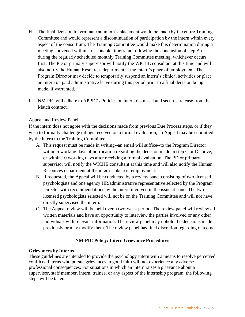- H. The final decision to terminate an intern's placement would be made by the entire Training Committee and would represent a discontinuation of participation by the intern within every aspect of the consortium. The Training Committee would make this determination during a meeting convened within a reasonable timeframe following the conclusion of step A or during the regularly scheduled monthly Training Committee meeting, whichever occurs first. The PD or primary supervisor will notify the WICHE consultant at this time and will also notify the Human Resources department at the intern's place of employment. The Program Director may decide to temporarily suspend an intern's clinical activities or place an intern on paid administrative leave during this period prior to a final decision being made, if warranted.
- I. NM-PIC will adhere to APPIC's Policies on intern dismissal and secure a release from the Match contract.

#### Appeal and Review Panel

If the intern does not agree with the decisions made from previous Due Process steps, or if they wish to formally challenge ratings received on a formal evaluation, an Appeal may be submitted by the intern to the Training Committee.

- A. This request must be made in writing--an email will suffice--to the Program Director within 5 working days of notification regarding the decision made in step C or D above, or within 10 working days after receiving a formal evaluation. The PD or primary supervisor will notify the WICHE consultant at this time and will also notify the Human Resources department at the intern's place of employment.
- B. If requested, the Appeal will be conducted by a review panel consisting of two licensed psychologists and one agency HR/administrative representative selected by the Program Director with recommendations by the intern involved in the issue at hand. The two licensed psychologists selected will not be on the Training Committee and will not have directly supervised the intern.
- C. The Appeal review will be held over a two-week period. The review panel will review all written materials and have an opportunity to interview the parties involved or any other individuals with relevant information. The review panel may uphold the decisions made previously or may modify them. The review panel has final discretion regarding outcome.

#### **NM-PIC Policy: Intern Grievance Procedures**

#### **Grievances by Interns**

These guidelines are intended to provide the psychology intern with a means to resolve perceived conflicts. Interns who pursue grievances in good faith will not experience any adverse professional consequences. For situations in which an intern raises a grievance about a supervisor, staff member, intern, trainee, or any aspect of the internship program, the following steps will be taken: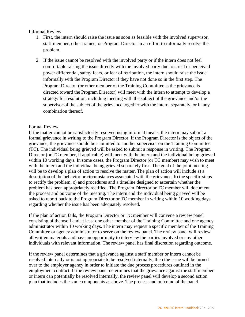#### Informal Review

- 1. First, the intern should raise the issue as soon as feasible with the involved supervisor, staff member, other trainee, or Program Director in an effort to informally resolve the problem.
- 2. If the issue cannot be resolved with the involved party or if the intern does not feel comfortable raising the issue directly with the involved party due to a real or perceived power differential, safety fears, or fear of retribution, the intern should raise the issue informally with the Program Director if they have not done so in the first step. The Program Director (or other member of the Training Committee is the grievance is directed toward the Program Director) will meet with the intern to attempt to develop a strategy for resolution, including meeting with the subject of the grievance and/or the supervisor of the subject of the grievance together with the intern, separately, or in any combination thereof.

#### Formal Review

If the matter cannot be satisfactorily resolved using informal means, the intern may submit a formal grievance in writing to the Program Director. If the Program Director is the object of the grievance, the grievance should be submitted to another supervisor on the Training Committee (TC). The individual being grieved will be asked to submit a response in writing. The Program Director (or TC member, if applicable) will meet with the intern and the individual being grieved within 10 working days. In some cases, the Program Director (or TC member) may wish to meet with the intern and the individual being grieved separately first. The goal of the joint meeting will be to develop a plan of action to resolve the matter. The plan of action will include a) a description of the behavior or circumstances associated with the grievance, b) the specific steps to rectify the problem, c) and procedures and a timeline designed to ascertain whether the problem has been appropriately rectified. The Program Director or TC member will document the process and outcome of the meeting. The intern and the individual being grieved will be asked to report back to the Program Director or TC member in writing within 10 working days regarding whether the issue has been adequately resolved.

If the plan of action fails, the Program Director or TC member will convene a review panel consisting of themself and at least one other member of the Training Committee and one agency administrator within 10 working days. The intern may request a specific member of the Training Committee or agency administrator to serve on the review panel. The review panel will review all written materials and have an opportunity to interview the parties involved or any other individuals with relevant information. The review panel has final discretion regarding outcome.

If the review panel determines that a grievance against a staff member or intern cannot be resolved internally or is not appropriate to be resolved internally, then the issue will be turned over to the employer agency in order to initiate the due process procedures outlined in the employment contract. If the review panel determines that the grievance against the staff member or intern can potentially be resolved internally, the review panel will develop a second action plan that includes the same components as above. The process and outcome of the panel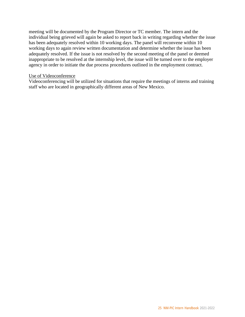meeting will be documented by the Program Director or TC member. The intern and the individual being grieved will again be asked to report back in writing regarding whether the issue has been adequately resolved within 10 working days. The panel will reconvene within 10 working days to again review written documentation and determine whether the issue has been adequately resolved. If the issue is not resolved by the second meeting of the panel or deemed inappropriate to be resolved at the internship level, the issue will be turned over to the employer agency in order to initiate the due process procedures outlined in the employment contract.

#### Use of Videoconference

Videoconferencing will be utilized for situations that require the meetings of interns and training staff who are located in geographically different areas of New Mexico.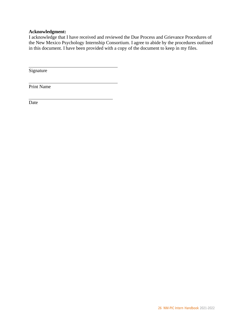#### **Acknowledgment:**

I acknowledge that I have received and reviewed the Due Process and Grievance Procedures of the New Mexico Psychology Internship Consortium. I agree to abide by the procedures outlined in this document. I have been provided with a copy of the document to keep in my files.

Signature

Print Name

Date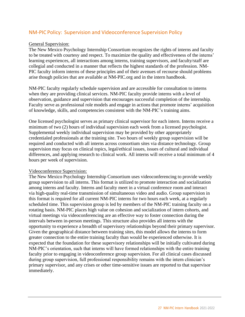#### <span id="page-26-0"></span>NM-PIC Policy: Supervision and Videoconference Supervision Policy

#### General Supervision:

The New Mexico Psychology Internship Consortium recognizes the rights of interns and faculty to be treated with courtesy and respect. To maximize the quality and effectiveness of the interns' learning experiences, all interactions among interns, training supervisors, and faculty/staff are collegial and conducted in a manner that reflects the highest standards of the profession. NM-PIC faculty inform interns of these principles and of their avenues of recourse should problems arise though policies that are available at NM-PIC.org and in the intern handbook.

NM-PIC faculty regularly schedule supervision and are accessible for consultation to interns when they are providing clinical services. NM-PIC faculty provide interns with a level of observation, guidance and supervision that encourages successful completion of the internship. Faculty serve as professional role models and engage in actions that promote interns' acquisition of knowledge, skills, and competencies consistent with the NM-PIC's training aims.

One licensed psychologist serves as primary clinical supervisor for each intern. Interns receive a minimum of two (2) hours of individual supervision each week from a licensed psychologist. Supplemental weekly individual supervision may be provided by other appropriately credentialed professionals at the training site. Two hours of weekly group supervision will be required and conducted with all interns across consortium sites via distance technology. Group supervision may focus on clinical topics, legal/ethical issues, issues of cultural and individual differences, and applying research to clinical work. All interns will receive a total minimum of 4 hours per week of supervision.

#### Videoconference Supervision:

The New Mexico Psychology Internship Consortium uses videoconferencing to provide weekly group supervision to all interns. This format is utilized to promote interaction and socialization among interns and faculty. Interns and faculty meet in a virtual conference room and interact via high-quality real-time transmission of simultaneous video and audio. Group supervision in this format is required for all current NM-PIC interns for two hours each week, at a regularly scheduled time. This supervision group is led by members of the NM-PIC training faculty on a rotating basis. NM-PIC places high value on cohesion and socialization of intern cohorts, and virtual meetings via videoconferencing are an effective way to foster connection during the intervals between in-person meetings. This structure also provides all interns with the opportunity to experience a breadth of supervisory relationships beyond their primary supervisor. Given the geographical distance between training sites, this model allows the interns to form greater connection to the entire training faculty than would be experienced otherwise. It is expected that the foundation for these supervisory relationships will be initially cultivated during NM-PIC's orientation, such that interns will have formed relationships with the entire training faculty prior to engaging in videoconference group supervision. For all clinical cases discussed during group supervision, full professional responsibility remains with the intern clinician's primary supervisor, and any crises or other time-sensitive issues are reported to that supervisor immediately.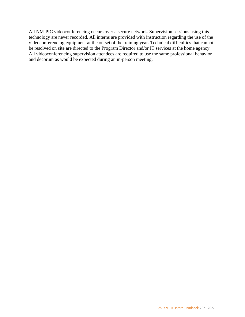All NM-PIC videoconferencing occurs over a secure network. Supervision sessions using this technology are never recorded. All interns are provided with instruction regarding the use of the videoconferencing equipment at the outset of the training year. Technical difficulties that cannot be resolved on site are directed to the Program Director and/or IT services at the home agency. All videoconferencing supervision attendees are required to use the same professional behavior and decorum as would be expected during an in-person meeting.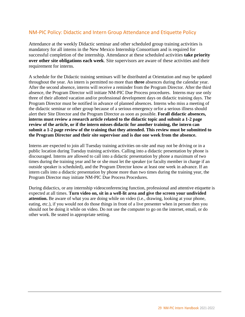#### <span id="page-28-0"></span>NM-PIC Policy: Didactic and Intern Group Attendance and Etiquette Policy

Attendance at the weekly Didactic seminar and other scheduled group training activities is mandatory for all interns in the New Mexico Internship Consortium and is required for successful completion of the internship. Attendance at these scheduled activities **take priority over other site obligations each week**. Site supervisors are aware of these activities and their requirement for interns.

A schedule for the Didactic training seminars will be distributed at Orientation and may be updated throughout the year. An intern is permitted no more than **three** absences during the calendar year. After the second absence, interns will receive a reminder from the Program Director. After the third absence, the Program Director will initiate NM-PIC Due Process procedures. Interns may use only three of their allotted vacation and/or professional development days on didactic training days. The Program Director must be notified in advance of planned absences. Interns who miss a meeting of the didactic seminar or other group because of a serious emergency orfor a serious illness should alert their Site Director and the Program Director as soon as possible. **Forall didactic absences, interns must review a research article related to the didactic topic and submit a 1-2 page review of the article, or if the intern misses didactic for another training, the intern can submit a 1-2 page review of the training that they attended. This review must be submitted to the Program Director and their site supervisor and is due one week from the absence.**

Interns are expected to join all Tuesday training activities on-site and may not be driving or in a public location during Tuesday training activities. Calling into a didactic presentation by phone is discouraged. Interns are allowed to call into a didactic presentation by phone a maximum of two times during the training year and he or she must let the speaker (or faculty member in charge if an outside speaker is scheduled), and the Program Director know at least one week in advance. If an intern calls into a didactic presentation by phone more than two times during the training year, the Program Director may initiate NM-PIC Due Process Procedures.

During didactics, or any internship videoconferencing function, professional and attentive etiquette is expected at all times. **Turn video on, sit in a well-lit area and give the screen your undivided attention.** Be aware of what you are doing while on video (i.e., drawing, looking at your phone, eating, etc.), if you would not do those things in front of a live presenter when in person then you should not be doing it while on video. Do not use the computer to go on the internet, email, or do other work. Be seated in appropriate setting.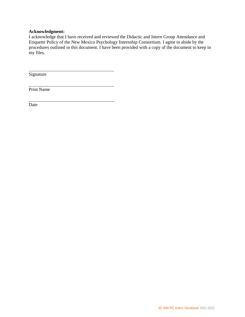#### **Acknowledgment:**

I acknowledge that I have received and reviewed the Didactic and Intern Group Attendance and Etiquette Policy of the New Mexico Psychology Internship Consortium. I agree to abide by the procedures outlined in this document. I have been provided with a copy of the document to keep in my files.

**Signature** 

Print Name

Date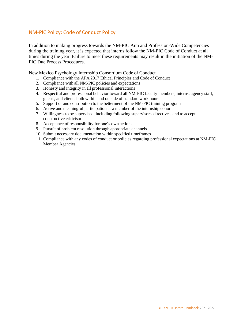### <span id="page-30-0"></span>NM-PIC Policy: Code of Conduct Policy

In addition to making progress towards the NM-PIC Aim and Profession-Wide Competencies during the training year, it is expected that interns follow the NM-PIC Code of Conduct at all times during the year. Failure to meet these requirements may result in the initiation of the NM-PIC Due Process Procedures.

New Mexico Psychology Internship Consortium Code of Conduct

- 1. Compliance with the APA 2017 Ethical Principles and Code of Conduct
- 2. Compliance with all NM-PIC policies and expectations
- 3. Honesty and integrity in all professional interactions
- 4. Respectful and professional behavior toward all NM-PIC faculty members, interns, agency staff, guests, and clients both within and outside of standard work hours
- 5. Support of and contribution to the betterment of the NM-PIC training program
- 6. Active and meaningful participation as a member of the internship cohort
- 7. Willingness to be supervised, including following supervisors' directives, and to accept constructive criticism
- 8. Acceptance of responsibility for one's own actions
- 9. Pursuit of problem resolution through appropriate channels
- 10. Submit necessary documentation within specified timeframes
- 11. Compliance with any codes of conduct or policies regarding professional expectations at NM-PIC Member Agencies.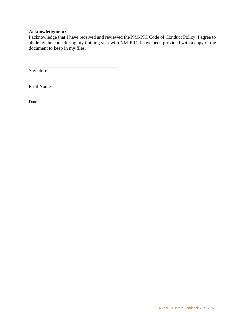#### **Acknowledgment:**

I acknowledge that I have received and reviewed the NM-PIC Code of Conduct Policy. I agree to abide by the code during my training year with NM-PIC. I have been provided with a copy of the document to keep in my files.

Signature

Print Name

Date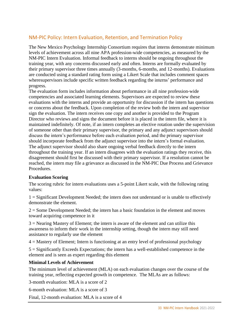### <span id="page-32-0"></span>NM-PIC Policy: Intern Evaluation, Retention, and Termination Policy

The New Mexico Psychology Internship Consortium requires that interns demonstrate minimum levels of achievement across all nine APA profession-wide competencies, as measured by the NM-PIC Intern Evaluation. Informal feedback to interns should be ongoing throughout the training year, with any concerns discussed early and often. Interns are formally evaluated by their primary supervisor three times annually (3-months, 6-months, and 12-months). Evaluations are conducted using a standard rating form using a Likert Scale that includes comment spaces wheresupervisors include specific written feedback regarding the interns' performance and progress.

The evaluation form includes information about performance in all nine profession-wide competencies and associated learning elements. Supervisors are expected to review these evaluations with the interns and provide an opportunity for discussion if the intern has questions or concerns about the feedback. Upon completion of the review both the intern and supervisor sign the evaluation. The intern receives one copy and another is provided to the Program Director who reviews and signs the document before it is placed in the intern file, where it is maintained indefinitely. Of note, if an intern completes an elective rotation under the supervision of someone other than their primary supervisor, the primary and any adjunct supervisors should discuss the intern's performance before each evaluation period, and the primary supervisor should incorporate feedback from the adjunct supervisor into the intern's formal evaluation. The adjunct supervisor should also share ongoing verbal feedback directly to the intern throughout the training year. If an intern disagrees with the evaluation ratings they receive, this disagreement should first be discussed with their primary supervisor. If a resolution cannot be reached, the intern may file a grievance as discussed in the NM-PIC Due Process and Grievance Procedures.

#### **Evaluation Scoring**

The scoring rubric for intern evaluations uses a 5-point Likert scale, with the following rating values:

1 = Significant Development Needed; the intern does not understand or is unable to effectively demonstrate the element.

 $2 =$  Some Development Needed; the intern has a basic foundation in the element and moves toward acquiring competence in it

3 = Nearing Mastery of Element; the intern is aware of the element and can utilize this awareness to inform their work in the internship setting, though the intern may still need assistance to regularly use the element

4 = Mastery of Element; Intern is functioning at an entry level of professional psychology

5 = Significantly Exceeds Expectations; the intern has a well-established competence in the element and is seen as expert regarding this element

#### **Minimal Levels of Achievement**

The minimum level of achievement (MLA) on each evaluation changes over the course of the training year, reflecting expected growth in competence. The MLAs are as follows:

3-month evaluation: MLA is a score of 2

6-month evaluation: MLA is a score of 3

Final, 12-month evaluation: MLA is a score of 4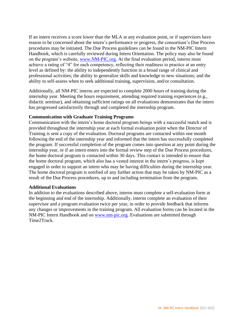If an intern receives a score lower than the MLA at any evaluation point, or if supervisors have reason to be concerned about the intern's performance or progress, the consortium's Due Process procedures may be initiated. The Due Process guidelines can be found in the NM-PIC Intern Handbook, which is carefully reviewed during Intern Orientation. The policy may also be found on the program's website, [www.NM-PIC.org. A](http://www.nm-pic.org/)t the final evaluation period, interns must achieve a rating of "4" for each competency, reflecting their readiness to practice at an entry level as defined by: the ability to independently function in a broad range of clinical and professional activities; the ability to generalize skills and knowledge to new situations; and the ability to self-assess when to seek additional training, supervision, and/or consultation.

Additionally, all NM-PIC interns are expected to complete 2000 hours of training during the internship year. Meeting the hours requirement, attending required training experiences (e.g., didactic seminar), and obtaining sufficient ratings on all evaluations demonstrates that the intern has progressed satisfactorily through and completed the internship program.

#### **Communication with Graduate Training Programs**

Communication with the intern's home doctoral program beings with a successful match and is provided throughout the internship year at each formal evaluation point when the Director of Training is sent a copy of the evaluation. Doctoral programs are contacted within one month following the end of the internship year and informed that the intern has successfully completed the program. If successful completion of the program comes into question at any point during the internship year, or if an intern enters into the formal review step of the Due Process procedures, the home doctoral program is contacted within 30 days. This contact is intended to ensure that the home doctoral program, which also has a vested interest in the intern's progress, is kept engaged in order to support an intern who may be having difficulties during the internship year. The home doctoral program is notified of any further action that may be taken by NM-PIC as a result of the Due Process procedures, up to and including termination from the program.

#### **Additional Evaluations**

In addition to the evaluations described above, interns must complete a self-evaluation form at the beginning and end of the internship. Additionally, interns complete an evaluation of their supervisor and a program evaluation twice per year, in order to provide feedback that informs any changes or improvements in the training program. All evaluation forms can be located in the NM-PIC Intern Handbook and on [www.nm-pic.org.](http://www.nm-pic.org/) Evaluations are submitted through Time2Track.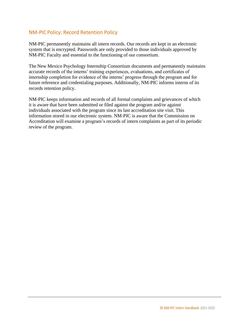#### <span id="page-34-0"></span>NM-PIC Policy: Record Retention Policy

NM-PIC permanently maintains all intern records. Our records are kept in an electronic system that is encrypted. Passwords are only provided to those individuals approved by NM-PIC Faculty and essential to the functioning of our consortium.

The New Mexico Psychology Internship Consortium documents and permanently maintains accurate records of the interns' training experiences, evaluations, and certificates of internship completion for evidence of the interns' progress through the program and for future reference and credentialing purposes. Additionally, NM-PIC informs interns of its records retention policy.

NM-PIC keeps information and records of all formal complaints and grievances of which it is aware that have been submitted or filed against the program and/or against individuals associated with the program since its last accreditation site visit. This information stored in our electronic system. NM-PIC is aware that the Commission on Accreditation will examine a program's records of intern complaints as part of its periodic review of the program.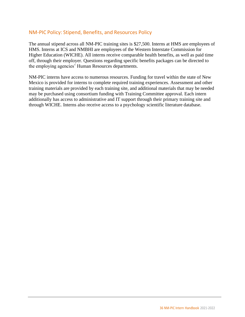#### <span id="page-35-0"></span>NM-PIC Policy: Stipend, Benefits, and Resources Policy

The annual stipend across all NM-PIC training sites is \$27,500. Interns at HMS are employees of HMS. Interns at ICS and NMBHI are employees of the Western Interstate Commission for Higher Education (WICHE). All interns receive comparable health benefits, as well as paid time off, through their employer. Questions regarding specific benefits packages can be directed to the employing agencies' Human Resources departments.

NM-PIC interns have access to numerous resources. Funding for travel within the state of New Mexico is provided for interns to complete required training experiences. Assessment and other training materials are provided by each training site, and additional materials that may be needed may be purchased using consortium funding with Training Committee approval. Each intern additionally has access to administrative and IT support through their primary training site and through WICHE. Interns also receive access to a psychology scientific literature database.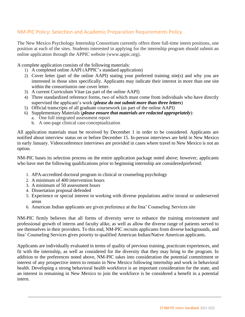### <span id="page-36-0"></span>NM-PIC Policy: Selection and Academic Preparation Requirements Policy

The New Mexico Psychology Internship Consortium currently offers three full-time intern positions, one position at each of the sites. Students interested in applying for the internship program should submit an online application through the APPIC website (www.appic.org).

A complete application consists of the following materials:

- 1) A completed online AAPI (APPIC's standard application)
- 2) Cover letter (part of the online AAPI) stating your preferred training site(s) and why you are interested in those sites specifically. Applicants may indicate their interest in more than one site within the consortiumin one cover letter.
- 3) A current Curriculum Vitae (as part of the online AAPI)
- 4) Three standardized reference forms, two of which must come from individuals who have directly supervised the applicant's work (*please do not submit more than three letters*)
- 5) Official transcripts of all graduate coursework (as part of the online AAPI)
- 6) Supplementary Materials (*please ensure that materials are redacted appropriately*):
	- a. One full integrated assessment report
	- b. A one-page clinical case conceptualization

All application materials must be received by December 1 in order to be considered. Applicants are notified about interview status on or before December 15. In-person interviews are held in New Mexico in early January. Videoconference interviews are provided in cases where travel to New Mexico is not an option.

NM-PIC bases its selection process on the entire application package noted above; however, applicants who have met the following qualifications prior to beginning internship are consideredpreferred:

- 1. APA-accredited doctoral program in clinical or counseling psychology
- 2. A minimum of 400 intervention hours
- 3. A minimum of 50 assessment hours
- 4. Dissertation proposal defended
- 5. Experience or special interest in working with diverse populations and/or inrural or underserved areas
- 6. American Indian applicants are given preference at the Iina' Counseling Services site

NM-PIC firmly believes that all forms of diversity serve to enhance the training environment and professional growth of interns and faculty alike, as well as allow the diverse range of patients served to see themselves in their providers. To this end, NM-PIC recruits applicants from diverse backgrounds, and Iina' Counseling Services gives priority to qualified American Indian/Native American applicants.

Applicants are individually evaluated in terms of quality of previous training, practicum experiences, and fit with the internship, as well as considered for the diversity that they may bring to the program. In addition to the preferences noted above, NM-PIC takes into consideration the potential commitment or interest of any prospective intern to remain in New Mexico following internship and work in behavioral health. Developing a strong behavioral health workforce is an important consideration for the state, and an interest in remaining in New Mexico to join the workforce is be considered a benefit in a potential intern.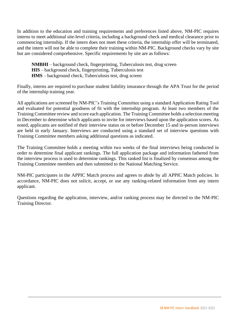In addition to the education and training requirements and preferences listed above, NM-PIC requires interns to meet additional site-level criteria, including a background check and medical clearance prior to commencing internship. If the intern does not meet these criteria, the internship offer will be terminated, and the intern will not be able to complete their training within NM-PIC. Background checks vary by site but are considered comprehensive. Specific requirements by site are as follows:

**NMBHI** – background check, fingerprinting, Tuberculosis test, drug screen **HIS** – background check, fingerprinting, Tuberculosis test **HMS** – background check, Tuberculosis test, drug screen

Finally, interns are required to purchase student liability insurance through the APA Trust for the period of the internship training year.

All applications are screened by NM-PIC's Training Committee using a standard Application Rating Tool and evaluated for potential goodness of fit with the internship program. At least two members of the Training Committee review and score each application. The Training Committee holds a selection meeting in December to determine which applicants to invite for interviews based upon the application scores. As noted, applicants are notified of their interview status on or before December 15 and in-person interviews are held in early January. Interviews are conducted using a standard set of interview questions with Training Committee members asking additional questions as indicated.

The Training Committee holds a meeting within two weeks of the final interviews being conducted in order to determine final applicant rankings. The full application package and information fathered from the interview process is used to determine rankings. This ranked list is finalized by consensus among the Training Committee members and then submitted to the National Matching Service.

NM-PIC participates in the APPIC Match process and agrees to abide by all APPIC Match policies. In accordance, NM-PIC does not solicit, accept, or use any ranking-related information from any intern applicant.

Questions regarding the application, interview, and/or ranking process may be directed to the NM-PIC Training Director.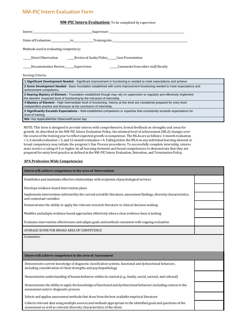#### <span id="page-38-0"></span>NM-PIC Intern Evaluation Form

#### **NM-PIC Intern Evaluation:** To be completed by supervisor

| Methods used in evaluating competency:                              |                                                                                                                                                                                                           |                                                                                                                            |
|---------------------------------------------------------------------|-----------------------------------------------------------------------------------------------------------------------------------------------------------------------------------------------------------|----------------------------------------------------------------------------------------------------------------------------|
| Direct Observation                                                  | Review of Audio/Video<br>Case Presentation                                                                                                                                                                |                                                                                                                            |
| Documentation Review_________Supervision                            |                                                                                                                                                                                                           | Comments from other staff/faculty                                                                                          |
| Scoring Criteria:                                                   |                                                                                                                                                                                                           |                                                                                                                            |
|                                                                     | 1 Significant Development Needed - Significant improvement in functioning is needed to meet expectations and achieve                                                                                      |                                                                                                                            |
| achievement competence.                                             |                                                                                                                                                                                                           | 2 Some Development Needed - Basic foundation established with some improvement functioning needed to meet expectations and |
|                                                                     | 3 Nearing Mastery of Element - Foundation established though may rely on supervision to regularly and effectively implement<br>the element. Expected level of functioning by the mid-point of internship. |                                                                                                                            |
| independent practice and licensure at the conclusion of internship. | 4 Mastery of Element - High intermediate level of functioning. Interns at this level are considered prepared for entry level                                                                              |                                                                                                                            |
| level of training.                                                  | 5 Significantly Exceeds Expectations - Well-established competence or expertise that consistently exceeds expectations for                                                                                |                                                                                                                            |
| N/A--Not Applicable/Not Observed/Cannot Say                         |                                                                                                                                                                                                           |                                                                                                                            |

NOTE: This form is designed to provide interns with comprehensive, formal feedback on strengths and areas for growth. As described in the NM-PIC Intern Evaluation Policy, the minimal level of achievement (MLA) changes over the course of the training year to reflect expected growth in competence. The MLAs are as follows: 3-month evaluation = 2, 6-month evaluation = 3, and 12-month evaluation = 4. Falling below the MLA on any individual learning element or broad competency may initiate the program's Due Process procedures. To successfully complete internship, interns must receive a rating of 4 or higher on all learning elements and broad competencies to demonstrate that they are prepared for entry level practice as defined in the NM-PIC Intern Evaluation, Retention, and Termination Policy.

#### **APA Profession Wide Competencies**

| Intern will achieve competence in the area of: Intervention                                                                                                                                  |  |  |
|----------------------------------------------------------------------------------------------------------------------------------------------------------------------------------------------|--|--|
| Establishes and maintains effective relationships with recipients of psychological services                                                                                                  |  |  |
| Develops evidence-based intervention plans                                                                                                                                                   |  |  |
| Implements interventions informed by the current scientific literature, assessment findings, diversity characteristics,<br>and contextual variables                                          |  |  |
| Demonstrates the ability to apply the relevant research literature to clinical decision making                                                                                               |  |  |
| Modifies and adapts evidence-based approaches effectively when a clear evidence-base is lacking                                                                                              |  |  |
| Evaluates intervention effectiveness and adapts goals and methods consistent with ongoing evaluation                                                                                         |  |  |
| AVERAGE SCORE FOR BROAD AREA OF COMPETENCE                                                                                                                                                   |  |  |
| Comments:                                                                                                                                                                                    |  |  |
|                                                                                                                                                                                              |  |  |
| Intern will achieve competence in the area of: Assessment                                                                                                                                    |  |  |
| Demonstrates current knowledge of diagnostic classification systems, functional and dysfunctional behaviors,<br>including consideration of client strengths and psychopathology              |  |  |
| Demonstrates understanding of human behavior within its context (e.g., family, social, societal, and cultural)                                                                               |  |  |
| Demonstrates the ability to apply the knowledge of functional and dysfunctional behaviors including context to the<br>assessment and/or diagnostic process                                   |  |  |
| Selects and applies assessment methods that draw from the best available empirical literature                                                                                                |  |  |
| Collects relevant data using multiple sources and methods appropriate to the identified goals and questions of the<br>assessment as well as relevant diversity characteristics of the client |  |  |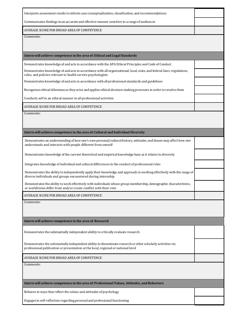| Interprets assessment results to inform case conceptualization, classification, and recommendations                                                                                    |  |
|----------------------------------------------------------------------------------------------------------------------------------------------------------------------------------------|--|
| Communicates findings in an accurate and effective manner sensitive to a range of audiences                                                                                            |  |
| AVERAGE SCORE FOR BROAD AREA OF COMPETENCE                                                                                                                                             |  |
| Comments:                                                                                                                                                                              |  |
|                                                                                                                                                                                        |  |
| Intern will achieve competence in the area of: Ethical and Legal Standards                                                                                                             |  |
| Demonstrates knowledge of and acts in accordance with the APA Ethical Principles and Code of Conduct                                                                                   |  |
| Demonstrates knowledge of and acts in accordance with all organizational, local, state, and federal laws, regulations,<br>rules, and policies relevant to health service psychologists |  |
| Demonstrates knowledge of and acts in accordance with all professional standards and guidelines                                                                                        |  |
| Recognizes ethical dilemmas as they arise and applies ethical decision-making processes in order to resolve them                                                                       |  |
| Conducts self in an ethical manner in all professional activities                                                                                                                      |  |
| AVERAGE SCORE FOR BROAD AREA OF COMPETENCE                                                                                                                                             |  |
| Comments:                                                                                                                                                                              |  |
|                                                                                                                                                                                        |  |
| Intern will achieve competence in the area of: Cultural and Individual Diversity                                                                                                       |  |
| Demonstrates an understanding of how one's own personal/cultural history, attitudes, and biases may affect how one<br>understands and interacts with people different from oneself     |  |
| Demonstrates knowledge of the current theoretical and empirical knowledge base as it relates to diversity                                                                              |  |
| Integrates knowledge of individual and cultural differences in the conduct of professional roles                                                                                       |  |
| Demonstrates the ability to independently apply their knowledge and approach in working effectively with the range of<br>diverse individuals and groups encountered during internship  |  |
| Demonstrates the ability to work effectively with individuals whose group membership, demographic characteristics,<br>or worldviews differ from and/or create conflict with their own  |  |
| AVERAGE SCORE FOR BROAD AREA OF COMPETENCE                                                                                                                                             |  |
| Comments:                                                                                                                                                                              |  |
|                                                                                                                                                                                        |  |
| Intern will achieve competence in the area of: Research                                                                                                                                |  |
| Demonstrates the substantially independent ability to critically evaluate research                                                                                                     |  |
| Demonstrates the substantially independent ability to disseminate research or other scholarly activities via                                                                           |  |
| professional publication or presentation at the local, regional or national level                                                                                                      |  |
| AVERAGE SCORE FOR BROAD AREA OF COMPETENCE                                                                                                                                             |  |
| Comments:                                                                                                                                                                              |  |
|                                                                                                                                                                                        |  |
| Intern will achieve competence in the area of: Professional Values, Attitudes, and Behaviors                                                                                           |  |
| Behaves in ways that reflect the values and attitudes of psychology                                                                                                                    |  |
| Engages in self-reflection regarding personal and professional functioning                                                                                                             |  |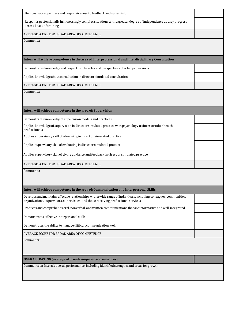| Demonstrates openness and responsiveness to feedback and supervision                                                                                                                                      |  |  |
|-----------------------------------------------------------------------------------------------------------------------------------------------------------------------------------------------------------|--|--|
| Responds professionally in increasingly complex situations with a greater degree of independence as they progress<br>across levels of training                                                            |  |  |
| AVERAGE SCORE FOR BROAD AREA OF COMPETENCE                                                                                                                                                                |  |  |
| Comments:                                                                                                                                                                                                 |  |  |
| Intern will achieve competence in the area of: Interprofessional and Interdisciplinary Consultation                                                                                                       |  |  |
| Demonstrates knowledge and respect for the roles and perspectives of other professions                                                                                                                    |  |  |
| Applies knowledge about consultation in direct or simulated consultation                                                                                                                                  |  |  |
| AVERAGE SCORE FOR BROAD AREA OF COMPETENCE                                                                                                                                                                |  |  |
| Comments:                                                                                                                                                                                                 |  |  |
| Intern will achieve competence in the area of: Supervision                                                                                                                                                |  |  |
| Demonstrates knowledge of supervision models and practices                                                                                                                                                |  |  |
| Applies knowledge of supervision in direct or simulated practice with psychology trainees or other health<br>professionals                                                                                |  |  |
| Applies supervisory skill of observing in direct or simulated practice                                                                                                                                    |  |  |
| Applies supervisory skill of evaluating in direct or simulated practice                                                                                                                                   |  |  |
| Applies supervisory skill of giving guidance and feedback in direct or simulated practice                                                                                                                 |  |  |
| AVERAGE SCORE FOR BROAD AREA OF COMPETENCE                                                                                                                                                                |  |  |
| Comments:                                                                                                                                                                                                 |  |  |
| Intern will achieve competence in the area of: Communication and Interpersonal Skills                                                                                                                     |  |  |
| Develops and maintains effective relationships with a wide range of individuals, including colleagues, communities,<br>organizations, supervisors, supervisees, and those receiving professional services |  |  |
| Produces and comprehends oral, nonverbal, and written communications that are informative and well-integrated                                                                                             |  |  |
| Demonstrates effective interpersonal skills                                                                                                                                                               |  |  |
| Demonstrates the ability to manage difficult communication well                                                                                                                                           |  |  |
| AVERAGE SCORE FOR BROAD AREA OF COMPETENCE                                                                                                                                                                |  |  |
| Comments:                                                                                                                                                                                                 |  |  |
| <b>OVERALL RATING (average of broad competence area scores)</b>                                                                                                                                           |  |  |
| Comments on Intern's overall performance, including identified strengths and areas for growth:                                                                                                            |  |  |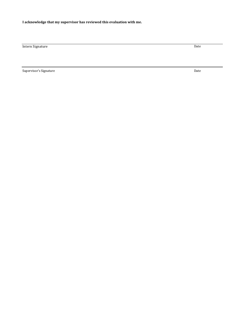**Intern Signature** Date

Supervisor's Signature Date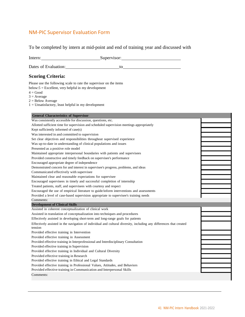#### <span id="page-42-0"></span>NM-PIC Supervisor Evaluation Form

To be completed by intern at mid-point and end of training year and discussed with

Intern: Supervisor:

Dates of Evaluation: to to the contract of Evaluation:

#### **Scoring Criteria:**

Please use the following scale to rate the supervisor on the items

below:5 = Excellent, very helpful in my development

- $4 = Good$
- $3 = Average$
- $2 =$  Below Average
- $1 =$  Unsatisfactory, least helpful in my development

| <b>General Characteristics of Supervisor</b>                                                                                   |  |
|--------------------------------------------------------------------------------------------------------------------------------|--|
| Was consistently accessible for discussion, questions, etc.                                                                    |  |
| Allotted sufficient time for supervision and scheduled supervision meetings appropriately                                      |  |
| Kept sufficiently informed of case(s)                                                                                          |  |
| Was interested in and committed to supervision                                                                                 |  |
| Set clear objectives and responsibilities throughout supervised experience                                                     |  |
| Was up-to-date in understanding of clinical populations and issues                                                             |  |
| Presented as a positive role model                                                                                             |  |
| Maintained appropriate interpersonal boundaries with patients and supervisees                                                  |  |
| Provided constructive and timely feedback on supervisee's performance                                                          |  |
| Encouraged appropriate degree of independence                                                                                  |  |
| Demonstrated concern for and interest in supervisee's progress, problems, and ideas                                            |  |
| Communicated effectively with supervisee                                                                                       |  |
| Maintained clear and reasonable expectations for supervisee                                                                    |  |
| Encouraged supervisees in timely and successful completion of internship                                                       |  |
| Treated patients, staff, and supervisees with courtesy and respect                                                             |  |
| Encouraged the use of empirical literature to guide/inform interventions and assessments                                       |  |
| Provided a level of case-based supervision appropriate to supervisee's training needs                                          |  |
| Comments:                                                                                                                      |  |
| <b>Development of Clinical Skills</b>                                                                                          |  |
| Assisted in coherent conceptualization of clinical work                                                                        |  |
| Assisted in translation of conceptualization into techniques and procedures                                                    |  |
| Effectively assisted in developing short-term and long-range goals for patients                                                |  |
| Effectively assisted in the navigation of individual and cultural diversity, including any differences that created<br>tension |  |
| Provided effective training in Intervention                                                                                    |  |
| Provided effective training in Assessment                                                                                      |  |
| Provided effective training in Interprofessional and Interdisciplinary Consultation                                            |  |
| Provided effective training in Supervision                                                                                     |  |
| Provided effective training in Individual and Cultural Diversity                                                               |  |
| Provided effective training in Research                                                                                        |  |
| Provided effective training in Ethical and Legal Standards                                                                     |  |
| Provided effective training in Professional Values, Attitudes, and Behaviors                                                   |  |
| Provided effective training in Communication and Interpersonal Skills                                                          |  |
| Comments:                                                                                                                      |  |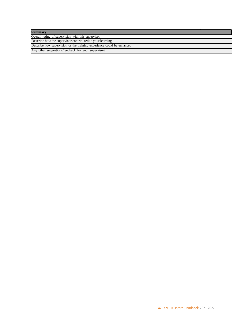**Summary** 

Overall rating of supervision with this supervisor

Describe how the supervisor contributed to your learning

Describe how supervision or the training experience could be enhanced

Any other suggestions/feedback for your supervisor?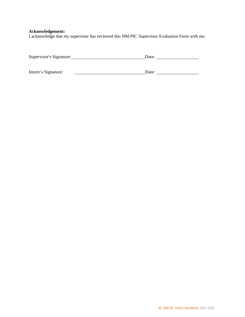#### **Acknowledgement:**

I acknowledge that my supervisor has reviewed this NM-PIC Supervisor Evaluation Form with me.

| Supervisor's Signature: | ⊃ate∙ |
|-------------------------|-------|
|-------------------------|-------|

Intern's Signature: <u>Date:</u> Date: <u>Date:</u>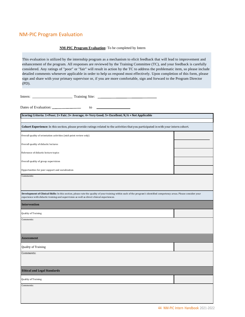#### <span id="page-45-0"></span>NM-PIC Program Evaluation

#### **NM-PIC Program Evaluation**: To be completed by Intern

This evaluation is utilized by the internship program as a mechanism to elicit feedback that will lead to improvement and enhancement of the program. All responses are reviewed by the Training Committee (TC), and your feedback is carefully considered. Any ratings of "poor" or "fair" will result in action by the TC to address the problematic item, so please include detailed comments whenever applicable in order to help us respond most effectively. Upon completion of this form, please sign and share with your primary supervisor or, if you are more comfortable, sign and forward to the Program Director (PD).

| to<br><u> 1989 - John Barn Barn, amerikansk politiker</u>                                                                                                                                                                                                             |  |
|-----------------------------------------------------------------------------------------------------------------------------------------------------------------------------------------------------------------------------------------------------------------------|--|
| Scoring Criteria: 1=Poor; 2= Fair; 3= Average; 4= Very Good; 5= Excellent; N/A = Not Applicable                                                                                                                                                                       |  |
|                                                                                                                                                                                                                                                                       |  |
| Cohort Experience: In this section, please provide ratings related to the activities that you participated in with your intern cohort.                                                                                                                                |  |
| Overall quality of orientation activities (mid-point review only)                                                                                                                                                                                                     |  |
| Overall quality of didactic lectures                                                                                                                                                                                                                                  |  |
| Relevance of didactic lecture topics                                                                                                                                                                                                                                  |  |
| Overall quality of group supervision                                                                                                                                                                                                                                  |  |
| Opportunities for peer support and socialization                                                                                                                                                                                                                      |  |
| Comments:                                                                                                                                                                                                                                                             |  |
|                                                                                                                                                                                                                                                                       |  |
| Development of Clinical Skills: In this section, please rate the quality of your training within each of the program's identified competency areas. Please consider your<br>experience with didactic training and supervision as well as direct clinical experiences. |  |
| <b>Intervention</b>                                                                                                                                                                                                                                                   |  |
| Quality of Training                                                                                                                                                                                                                                                   |  |
| Comments:                                                                                                                                                                                                                                                             |  |
|                                                                                                                                                                                                                                                                       |  |
| <b>Assessment</b>                                                                                                                                                                                                                                                     |  |
| Quality of Training                                                                                                                                                                                                                                                   |  |
| Comments:                                                                                                                                                                                                                                                             |  |
|                                                                                                                                                                                                                                                                       |  |
| <b>Ethical and Legal Standards</b>                                                                                                                                                                                                                                    |  |
| Quality of Training                                                                                                                                                                                                                                                   |  |
| Comments:                                                                                                                                                                                                                                                             |  |
|                                                                                                                                                                                                                                                                       |  |
|                                                                                                                                                                                                                                                                       |  |
|                                                                                                                                                                                                                                                                       |  |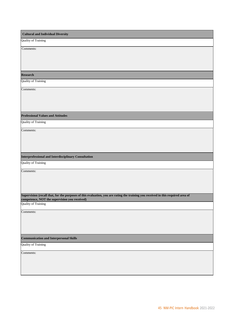| <b>Cultural and Individual Diversity</b>                                                                                         |
|----------------------------------------------------------------------------------------------------------------------------------|
| <b>Quality of Training</b>                                                                                                       |
| Comments:                                                                                                                        |
|                                                                                                                                  |
|                                                                                                                                  |
| Research                                                                                                                         |
| Quality of Training                                                                                                              |
| Comments:                                                                                                                        |
|                                                                                                                                  |
|                                                                                                                                  |
| <b>Professional Values and Attitudes</b>                                                                                         |
| <b>Quality of Training</b>                                                                                                       |
| Comments:                                                                                                                        |
|                                                                                                                                  |
|                                                                                                                                  |
| <b>Interprofessional and Interdisciplinary Consultation</b>                                                                      |
| Quality of Training                                                                                                              |
| Comments:                                                                                                                        |
|                                                                                                                                  |
|                                                                                                                                  |
| Supervision (recall that, for the purposes of this evaluation, you are rating the training you received in this required area of |
| competence, NOT the supervision you received)<br>Quality of Training                                                             |
| Comments:                                                                                                                        |
|                                                                                                                                  |
|                                                                                                                                  |
| <b>Communication and Interpersonal Skills</b>                                                                                    |
| <b>Quality of Training</b>                                                                                                       |
| Comments:                                                                                                                        |
|                                                                                                                                  |
|                                                                                                                                  |
|                                                                                                                                  |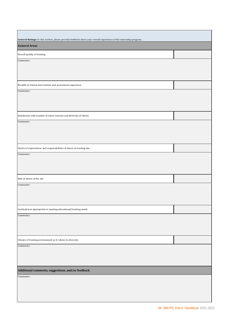| General Ratings: In this section, please provide feedback about your overall experience of the internship program. |  |
|--------------------------------------------------------------------------------------------------------------------|--|
| <b>General Areas</b>                                                                                               |  |
| Overall quality of training                                                                                        |  |
| Comments:                                                                                                          |  |
|                                                                                                                    |  |
|                                                                                                                    |  |
| Breadth of clinical intervention and assessment experience<br>Comments:                                            |  |
|                                                                                                                    |  |
|                                                                                                                    |  |
| Satisfaction with number of client contacts and diversity of clients                                               |  |
| Comments:                                                                                                          |  |
|                                                                                                                    |  |
|                                                                                                                    |  |
| Clarity of expectations and responsibilities of intern at training site                                            |  |
| Comments:                                                                                                          |  |
|                                                                                                                    |  |
|                                                                                                                    |  |
| Role of intern at the site<br>Comments:                                                                            |  |
|                                                                                                                    |  |
|                                                                                                                    |  |
| Caseload was appropriate to meeting educational/training needs                                                     |  |
| Comments:                                                                                                          |  |
|                                                                                                                    |  |
|                                                                                                                    |  |
| Climate of training environment as it relates to diversity                                                         |  |
| Comments:                                                                                                          |  |
|                                                                                                                    |  |
|                                                                                                                    |  |
| Additional comments, suggestions, and/or feedback<br>Comments:                                                     |  |
|                                                                                                                    |  |
|                                                                                                                    |  |
|                                                                                                                    |  |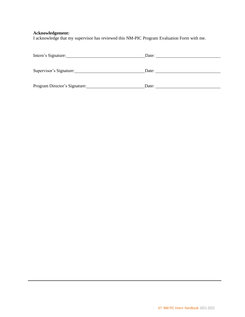#### **Acknowledgement:**

I acknowledge that my supervisor has reviewed this NM-PIC Program Evaluation Form with me.

| Intern's Signature:           | Date: |
|-------------------------------|-------|
| Supervisor's Signature:       | Date: |
| Program Director's Signature: | Date: |